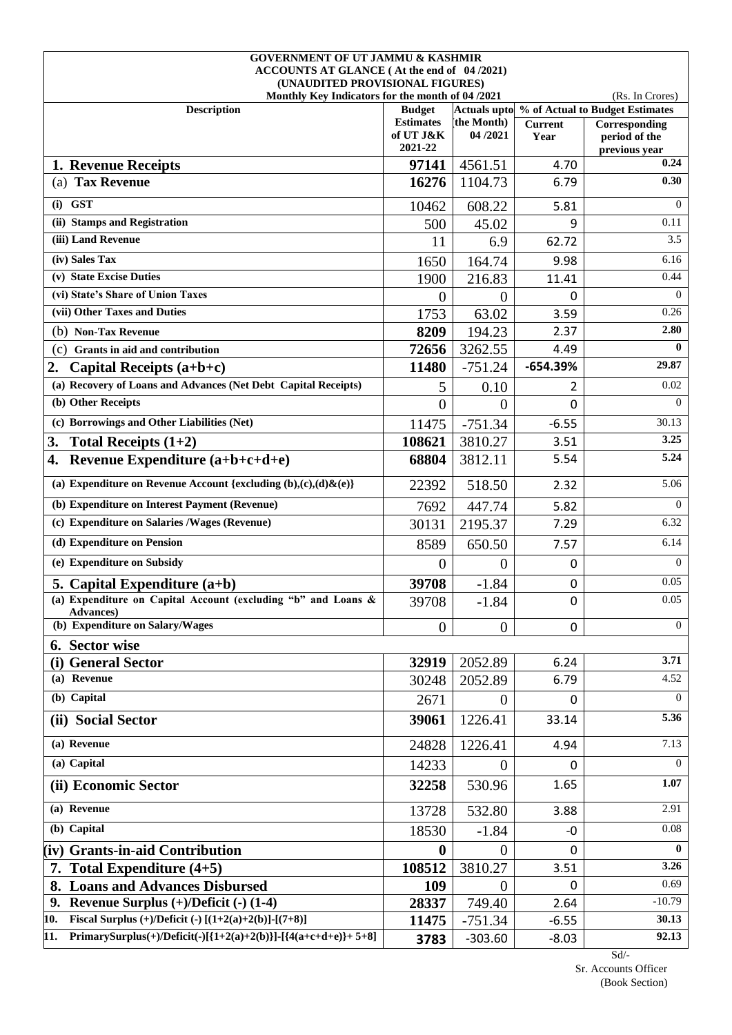| <b>GOVERNMENT OF UT JAMMU &amp; KASHMIR</b>                                   |                                   |                |                |                                                               |
|-------------------------------------------------------------------------------|-----------------------------------|----------------|----------------|---------------------------------------------------------------|
| ACCOUNTS AT GLANCE (At the end of 04/2021)<br>(UNAUDITED PROVISIONAL FIGURES) |                                   |                |                |                                                               |
| Monthly Key Indicators for the month of 04/2021                               |                                   |                |                | (Rs. In Crores)                                               |
| <b>Description</b>                                                            | <b>Budget</b><br><b>Estimates</b> | the Month)     | <b>Current</b> | Actuals upto % of Actual to Budget Estimates<br>Corresponding |
|                                                                               | of UT J&K<br>2021-22              | 04/2021        | Year           | period of the<br>previous year                                |
| 1. Revenue Receipts                                                           | 97141                             | 4561.51        | 4.70           | 0.24                                                          |
| (a) Tax Revenue                                                               | 16276                             | 1104.73        | 6.79           | 0.30                                                          |
| $(i)$ GST                                                                     | 10462                             | 608.22         | 5.81           | $\Omega$                                                      |
| (ii) Stamps and Registration                                                  | 500                               | 45.02          | 9              | 0.11                                                          |
| (iii) Land Revenue                                                            | 11                                | 6.9            | 62.72          | 3.5                                                           |
| (iv) Sales Tax                                                                | 1650                              | 164.74         | 9.98           | 6.16                                                          |
| (v) State Excise Duties                                                       | 1900                              | 216.83         | 11.41          | 0.44                                                          |
| (vi) State's Share of Union Taxes                                             | $\overline{0}$                    | $\Omega$       | 0              | $\Omega$                                                      |
| (vii) Other Taxes and Duties                                                  | 1753                              | 63.02          | 3.59           | 0.26                                                          |
| (b) Non-Tax Revenue                                                           | 8209                              | 194.23         | 2.37           | 2.80                                                          |
| (c) Grants in aid and contribution                                            | 72656                             | 3262.55        | 4.49           | $\mathbf{0}$                                                  |
| 2.<br>Capital Receipts $(a+b+c)$                                              | 11480                             | $-751.24$      | $-654.39%$     | 29.87                                                         |
| (a) Recovery of Loans and Advances (Net Debt Capital Receipts)                | 5                                 | 0.10           | 2              | 0.02                                                          |
| (b) Other Receipts                                                            | $\overline{0}$                    | $\overline{0}$ | 0              | $\overline{0}$                                                |
| (c) Borrowings and Other Liabilities (Net)                                    | 11475                             | $-751.34$      | $-6.55$        | 30.13                                                         |
| 3.<br>Total Receipts $(1+2)$                                                  | 108621                            | 3810.27        | 3.51           | 3.25                                                          |
| Revenue Expenditure $(a+b+c+d+e)$<br>4.                                       | 68804                             | 3812.11        | 5.54           | 5.24                                                          |
| (a) Expenditure on Revenue Account {excluding $(b),(c),(d)\& (e)\}$           | 22392                             | 518.50         | 2.32           | 5.06                                                          |
| (b) Expenditure on Interest Payment (Revenue)                                 | 7692                              | 447.74         | 5.82           | $\Omega$                                                      |
| (c) Expenditure on Salaries /Wages (Revenue)                                  | 30131                             | 2195.37        | 7.29           | 6.32                                                          |
| (d) Expenditure on Pension                                                    | 8589                              | 650.50         | 7.57           | 6.14                                                          |
| (e) Expenditure on Subsidy                                                    | $\theta$                          | $\mathbf{0}$   | 0              | $\Omega$                                                      |
| 5. Capital Expenditure $(a+b)$                                                | 39708                             | $-1.84$        | $\mathbf 0$    | 0.05                                                          |
| (a) Expenditure on Capital Account (excluding "b" and Loans &<br>Advances)    | 39708                             | $-1.84$        | $\mathbf 0$    | 0.05                                                          |
| (b) Expenditure on Salary/Wages                                               | $\boldsymbol{0}$                  | $\mathbf{0}$   | $\mathbf{0}$   | $\overline{0}$                                                |
| 6. Sector wise                                                                |                                   |                |                |                                                               |
| (i) General Sector                                                            | 32919                             | 2052.89        | 6.24           | 3.71                                                          |
| (a) Revenue                                                                   | 30248                             | 2052.89        | 6.79           | 4.52                                                          |
| (b) Capital                                                                   | 2671                              | $\overline{0}$ | $\mathbf{0}$   | $\Omega$                                                      |
| (ii) Social Sector                                                            | 39061                             | 1226.41        | 33.14          | 5.36                                                          |
| (a) Revenue                                                                   | 24828                             | 1226.41        | 4.94           | 7.13                                                          |
| (a) Capital                                                                   | 14233                             | $\overline{0}$ | $\mathbf{0}$   | $\Omega$                                                      |
| (ii) Economic Sector                                                          | 32258                             | 530.96         | 1.65           | 1.07                                                          |
| (a) Revenue                                                                   | 13728                             | 532.80         | 3.88           | 2.91                                                          |
| (b) Capital                                                                   | 18530                             | $-1.84$        | $-0$           | $0.08\,$                                                      |
| (iv) Grants-in-aid Contribution                                               | $\mathbf{0}$                      | $\theta$       | 0              | $\mathbf{0}$                                                  |
| 7. Total Expenditure (4+5)                                                    | 108512                            | 3810.27        | 3.51           | 3.26                                                          |
| <b>Loans and Advances Disbursed</b>                                           | 109                               | $\theta$       | 0              | 0.69                                                          |
| 9. Revenue Surplus $(+)/$ Deficit $(-)$ (1-4)                                 | 28337                             | 749.40         | 2.64           | $-10.79$                                                      |
| Fiscal Surplus (+)/Deficit (-) $[(1+2(a)+2(b)]-(7+8)]$<br>10.                 | 11475                             | $-751.34$      | $-6.55$        | 30.13                                                         |
| PrimarySurplus(+)/Deficit(-)[{1+2(a)+2(b)}]-[{4(a+c+d+e)}+ 5+8]<br>11.        | 3783                              | $-303.60$      | $-8.03$        | 92.13                                                         |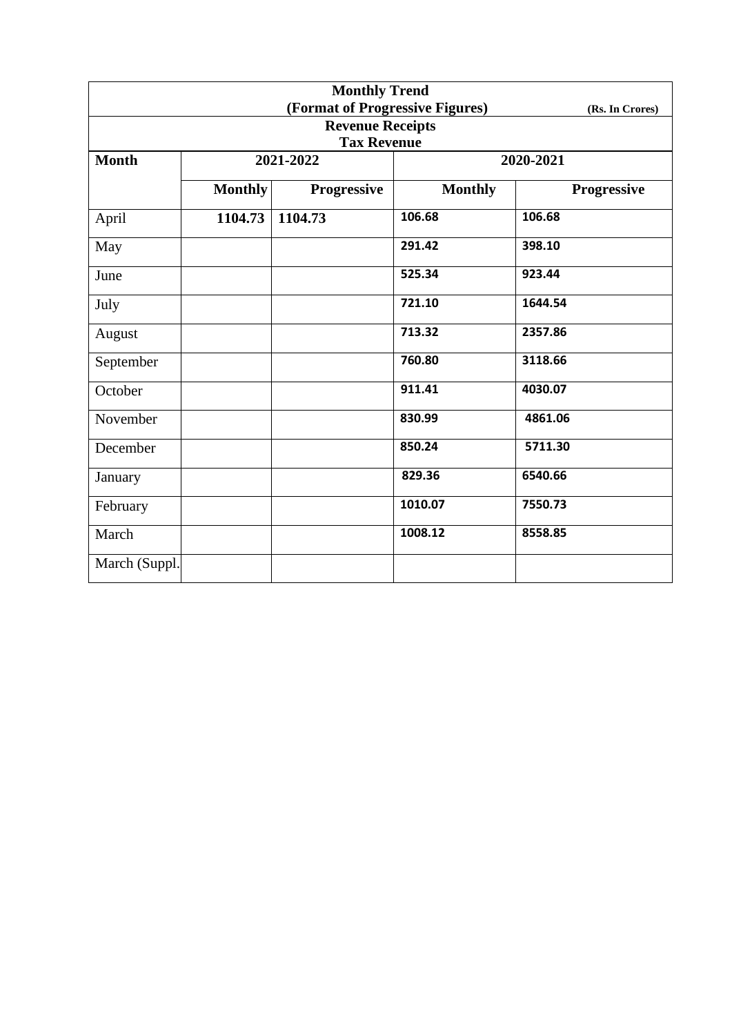| <b>Monthly Trend</b><br>(Format of Progressive Figures) |                |                                               |                |                 |  |
|---------------------------------------------------------|----------------|-----------------------------------------------|----------------|-----------------|--|
|                                                         |                |                                               |                | (Rs. In Crores) |  |
|                                                         |                | <b>Revenue Receipts</b><br><b>Tax Revenue</b> |                |                 |  |
| <b>Month</b>                                            |                | 2021-2022                                     |                | 2020-2021       |  |
|                                                         |                |                                               |                |                 |  |
|                                                         | <b>Monthly</b> | Progressive                                   | <b>Monthly</b> | Progressive     |  |
| April                                                   | 1104.73        | 1104.73                                       | 106.68         | 106.68          |  |
| May                                                     |                |                                               | 291.42         | 398.10          |  |
| June                                                    |                |                                               | 525.34         | 923.44          |  |
| July                                                    |                |                                               | 721.10         | 1644.54         |  |
| August                                                  |                |                                               | 713.32         | 2357.86         |  |
| September                                               |                |                                               | 760.80         | 3118.66         |  |
| October                                                 |                |                                               | 911.41         | 4030.07         |  |
| November                                                |                |                                               | 830.99         | 4861.06         |  |
| December                                                |                |                                               | 850.24         | 5711.30         |  |
| January                                                 |                |                                               | 829.36         | 6540.66         |  |
| February                                                |                |                                               | 1010.07        | 7550.73         |  |
| March                                                   |                |                                               | 1008.12        | 8558.85         |  |
| March (Suppl.                                           |                |                                               |                |                 |  |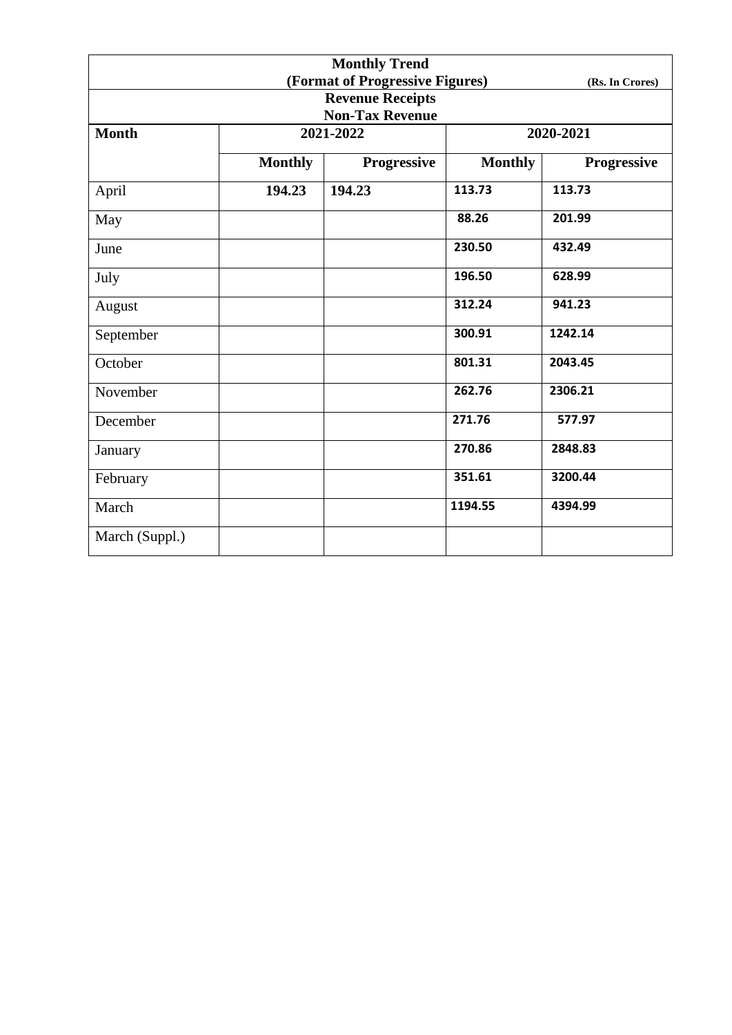| <b>Monthly Trend</b> |                |                                 |                |                 |  |
|----------------------|----------------|---------------------------------|----------------|-----------------|--|
|                      |                | (Format of Progressive Figures) |                | (Rs. In Crores) |  |
|                      |                | <b>Revenue Receipts</b>         |                |                 |  |
|                      |                | <b>Non-Tax Revenue</b>          |                |                 |  |
| <b>Month</b>         |                | 2021-2022                       |                | 2020-2021       |  |
|                      | <b>Monthly</b> | <b>Progressive</b>              | <b>Monthly</b> | Progressive     |  |
| April                | 194.23         | 194.23                          | 113.73         | 113.73          |  |
| May                  |                |                                 | 88.26          | 201.99          |  |
| June                 |                |                                 | 230.50         | 432.49          |  |
| July                 |                |                                 | 196.50         | 628.99          |  |
| August               |                |                                 | 312.24         | 941.23          |  |
| September            |                |                                 | 300.91         | 1242.14         |  |
| October              |                |                                 | 801.31         | 2043.45         |  |
| November             |                |                                 | 262.76         | 2306.21         |  |
| December             |                |                                 | 271.76         | 577.97          |  |
| January              |                |                                 | 270.86         | 2848.83         |  |
| February             |                |                                 | 351.61         | 3200.44         |  |
| March                |                |                                 | 1194.55        | 4394.99         |  |
| March (Suppl.)       |                |                                 |                |                 |  |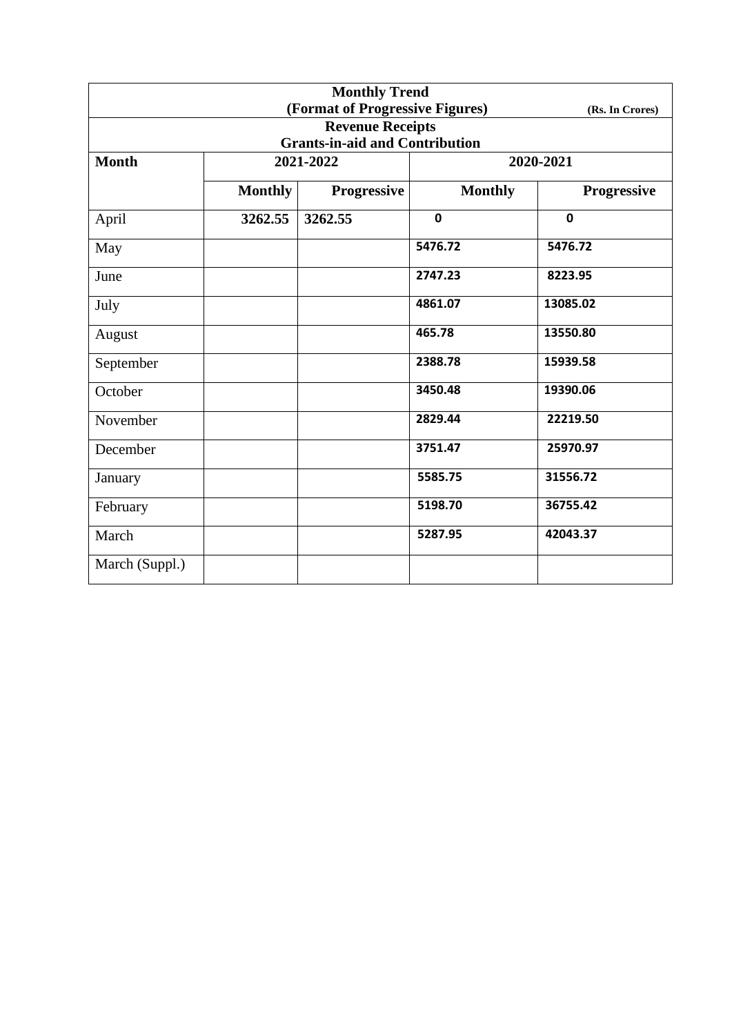| <b>Monthly Trend</b> |                |                                       |                |                    |  |
|----------------------|----------------|---------------------------------------|----------------|--------------------|--|
|                      |                | (Format of Progressive Figures)       |                | (Rs. In Crores)    |  |
|                      |                | <b>Revenue Receipts</b>               |                |                    |  |
|                      |                | <b>Grants-in-aid and Contribution</b> |                |                    |  |
| <b>Month</b>         |                | 2021-2022                             | 2020-2021      |                    |  |
|                      | <b>Monthly</b> | Progressive                           | <b>Monthly</b> | <b>Progressive</b> |  |
| April                | 3262.55        | 3262.55                               | $\mathbf 0$    | $\mathbf 0$        |  |
| May                  |                |                                       | 5476.72        | 5476.72            |  |
| June                 |                |                                       | 2747.23        | 8223.95            |  |
| July                 |                |                                       | 4861.07        | 13085.02           |  |
| August               |                |                                       | 465.78         | 13550.80           |  |
| September            |                |                                       | 2388.78        | 15939.58           |  |
| October              |                |                                       | 3450.48        | 19390.06           |  |
| November             |                |                                       | 2829.44        | 22219.50           |  |
| December             |                |                                       | 3751.47        | 25970.97           |  |
| January              |                |                                       | 5585.75        | 31556.72           |  |
| February             |                |                                       | 5198.70        | 36755.42           |  |
| March                |                |                                       | 5287.95        | 42043.37           |  |
| March (Suppl.)       |                |                                       |                |                    |  |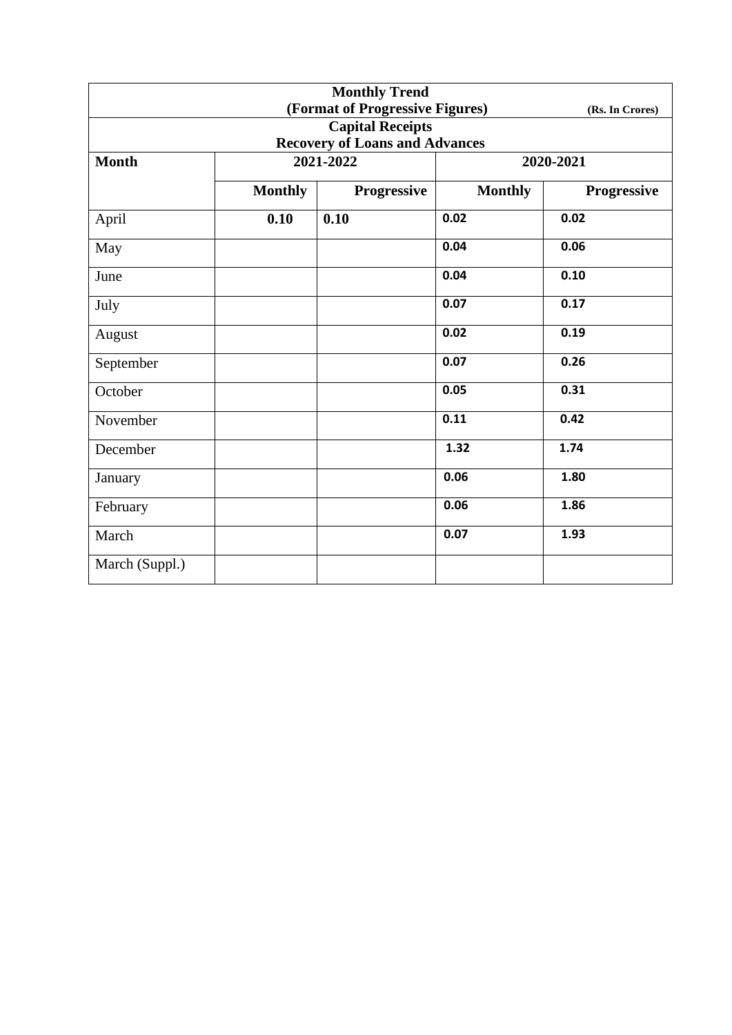| <b>Monthly Trend</b>                  |                |                                 |                |                 |  |
|---------------------------------------|----------------|---------------------------------|----------------|-----------------|--|
|                                       |                | (Format of Progressive Figures) |                | (Rs. In Crores) |  |
|                                       |                | <b>Capital Receipts</b>         |                |                 |  |
| <b>Recovery of Loans and Advances</b> |                |                                 |                |                 |  |
| <b>Month</b>                          | 2021-2022      |                                 | 2020-2021      |                 |  |
|                                       | <b>Monthly</b> | Progressive                     | <b>Monthly</b> | Progressive     |  |
| April                                 | 0.10           | 0.10                            | 0.02           | 0.02            |  |
| May                                   |                |                                 | 0.04           | 0.06            |  |
| June                                  |                |                                 | 0.04           | 0.10            |  |
| July                                  |                |                                 | 0.07           | 0.17            |  |
| August                                |                |                                 | 0.02           | 0.19            |  |
| September                             |                |                                 | 0.07           | 0.26            |  |
| October                               |                |                                 | 0.05           | 0.31            |  |
| November                              |                |                                 | 0.11           | 0.42            |  |
| December                              |                |                                 | 1.32           | 1.74            |  |
| January                               |                |                                 | 0.06           | 1.80            |  |
| February                              |                |                                 | 0.06           | 1.86            |  |
| March                                 |                |                                 | 0.07           | 1.93            |  |
| March (Suppl.)                        |                |                                 |                |                 |  |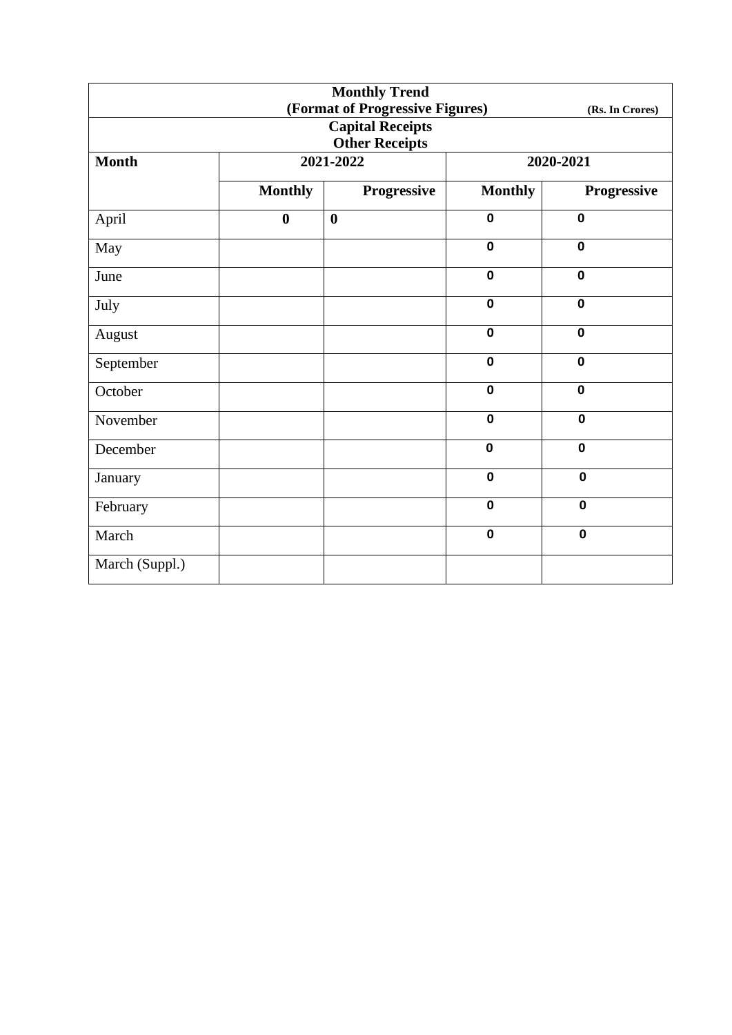| <b>Monthly Trend</b> |                  |                                 |                |                 |
|----------------------|------------------|---------------------------------|----------------|-----------------|
|                      |                  | (Format of Progressive Figures) |                | (Rs. In Crores) |
|                      |                  | <b>Capital Receipts</b>         |                |                 |
|                      |                  | <b>Other Receipts</b>           |                |                 |
| <b>Month</b>         |                  | 2021-2022                       |                | 2020-2021       |
|                      | <b>Monthly</b>   | <b>Progressive</b>              | <b>Monthly</b> | Progressive     |
| April                | $\boldsymbol{0}$ | $\boldsymbol{0}$                | $\mathbf 0$    | $\mathbf 0$     |
| May                  |                  |                                 | $\mathbf 0$    | $\mathbf 0$     |
| June                 |                  |                                 | $\mathbf 0$    | $\mathbf 0$     |
| July                 |                  |                                 | $\mathbf 0$    | $\mathbf 0$     |
| August               |                  |                                 | $\mathbf 0$    | $\mathbf 0$     |
| September            |                  |                                 | $\mathbf 0$    | $\mathbf 0$     |
| October              |                  |                                 | $\mathbf 0$    | $\mathbf 0$     |
| November             |                  |                                 | $\mathbf 0$    | $\mathbf 0$     |
| December             |                  |                                 | $\mathbf 0$    | $\mathbf 0$     |
| January              |                  |                                 | $\mathbf 0$    | $\mathbf 0$     |
| February             |                  |                                 | $\mathbf 0$    | $\mathbf 0$     |
| March                |                  |                                 | $\mathbf 0$    | $\mathbf 0$     |
| March (Suppl.)       |                  |                                 |                |                 |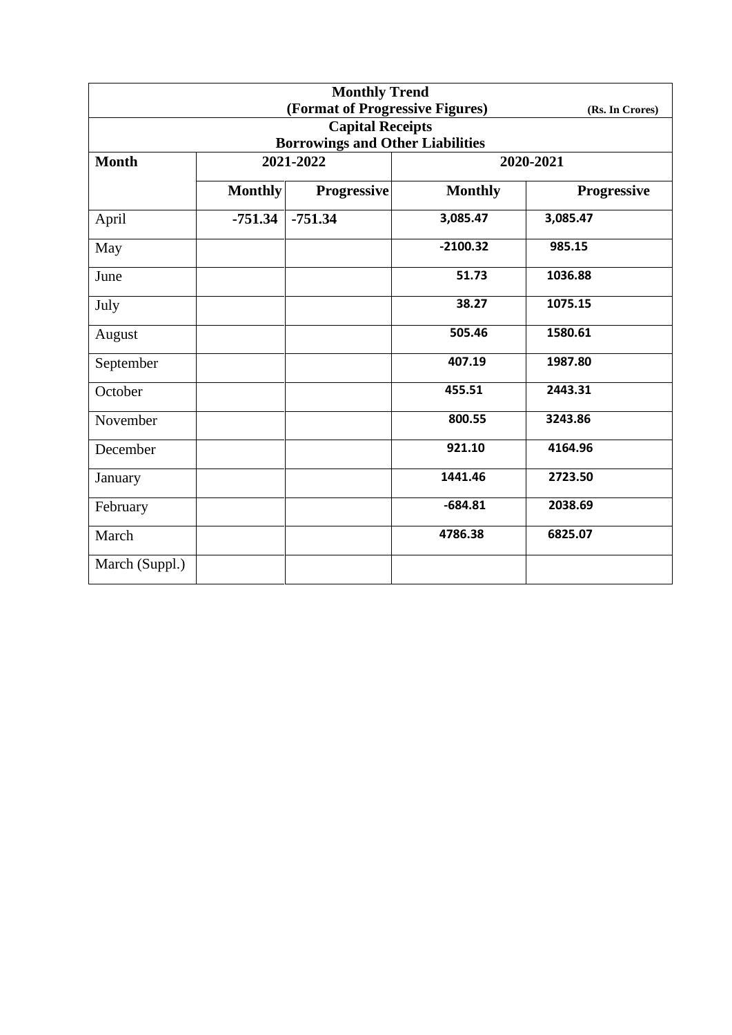| <b>Monthly Trend</b> |                |                                         |                |                 |
|----------------------|----------------|-----------------------------------------|----------------|-----------------|
|                      |                | (Format of Progressive Figures)         |                | (Rs. In Crores) |
|                      |                | <b>Capital Receipts</b>                 |                |                 |
|                      |                | <b>Borrowings and Other Liabilities</b> |                |                 |
| <b>Month</b>         |                | 2021-2022                               |                | 2020-2021       |
|                      | <b>Monthly</b> | Progressive                             | <b>Monthly</b> | Progressive     |
| April                | $-751.34$      | $-751.34$                               | 3,085.47       | 3,085.47        |
| May                  |                |                                         | $-2100.32$     | 985.15          |
| June                 |                |                                         | 51.73          | 1036.88         |
| July                 |                |                                         | 38.27          | 1075.15         |
| August               |                |                                         | 505.46         | 1580.61         |
| September            |                |                                         | 407.19         | 1987.80         |
| October              |                |                                         | 455.51         | 2443.31         |
| November             |                |                                         | 800.55         | 3243.86         |
| December             |                |                                         | 921.10         | 4164.96         |
| January              |                |                                         | 1441.46        | 2723.50         |
| February             |                |                                         | $-684.81$      | 2038.69         |
| March                |                |                                         | 4786.38        | 6825.07         |
| March (Suppl.)       |                |                                         |                |                 |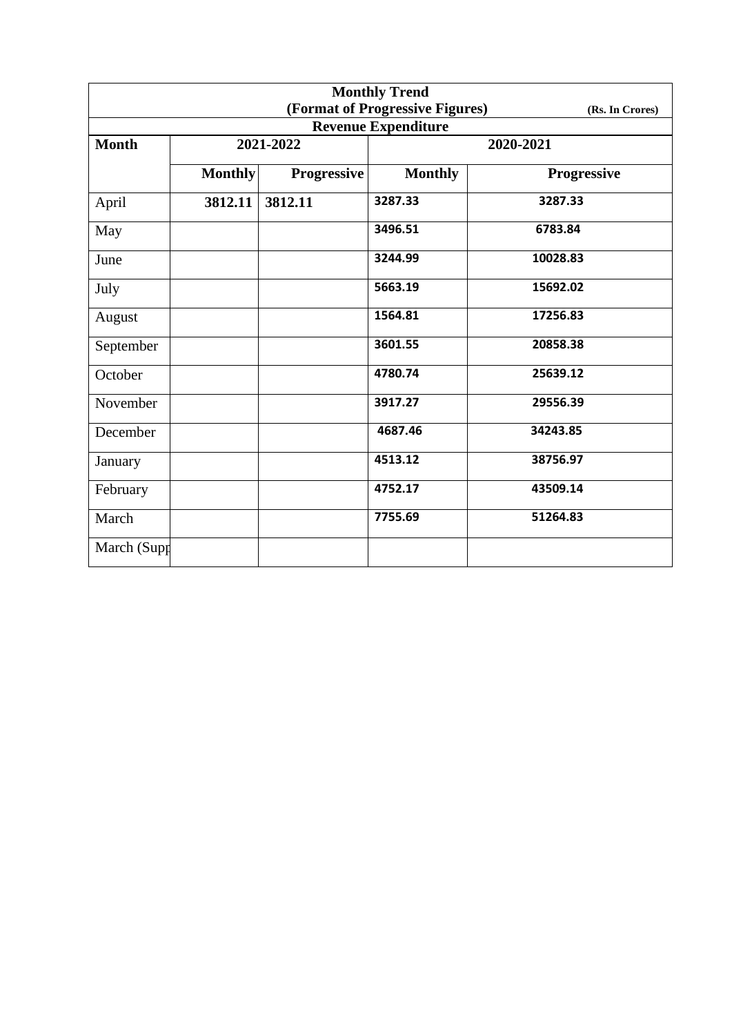| <b>Monthly Trend</b> |                |                    |                                 |                    |  |
|----------------------|----------------|--------------------|---------------------------------|--------------------|--|
|                      |                |                    | (Format of Progressive Figures) | (Rs. In Crores)    |  |
|                      |                |                    | <b>Revenue Expenditure</b>      |                    |  |
| <b>Month</b>         |                | 2021-2022          | 2020-2021                       |                    |  |
|                      | <b>Monthly</b> | <b>Progressive</b> | <b>Monthly</b>                  | <b>Progressive</b> |  |
| April                | 3812.11        | 3812.11            | 3287.33                         | 3287.33            |  |
| May                  |                |                    | 3496.51                         | 6783.84            |  |
| June                 |                |                    | 3244.99                         | 10028.83           |  |
| July                 |                |                    | 5663.19                         | 15692.02           |  |
| August               |                |                    | 1564.81                         | 17256.83           |  |
| September            |                |                    | 3601.55                         | 20858.38           |  |
| October              |                |                    | 4780.74                         | 25639.12           |  |
| November             |                |                    | 3917.27                         | 29556.39           |  |
| December             |                |                    | 4687.46                         | 34243.85           |  |
| January              |                |                    | 4513.12                         | 38756.97           |  |
| February             |                |                    | 4752.17                         | 43509.14           |  |
| March                |                |                    | 7755.69                         | 51264.83           |  |
| March (Supp          |                |                    |                                 |                    |  |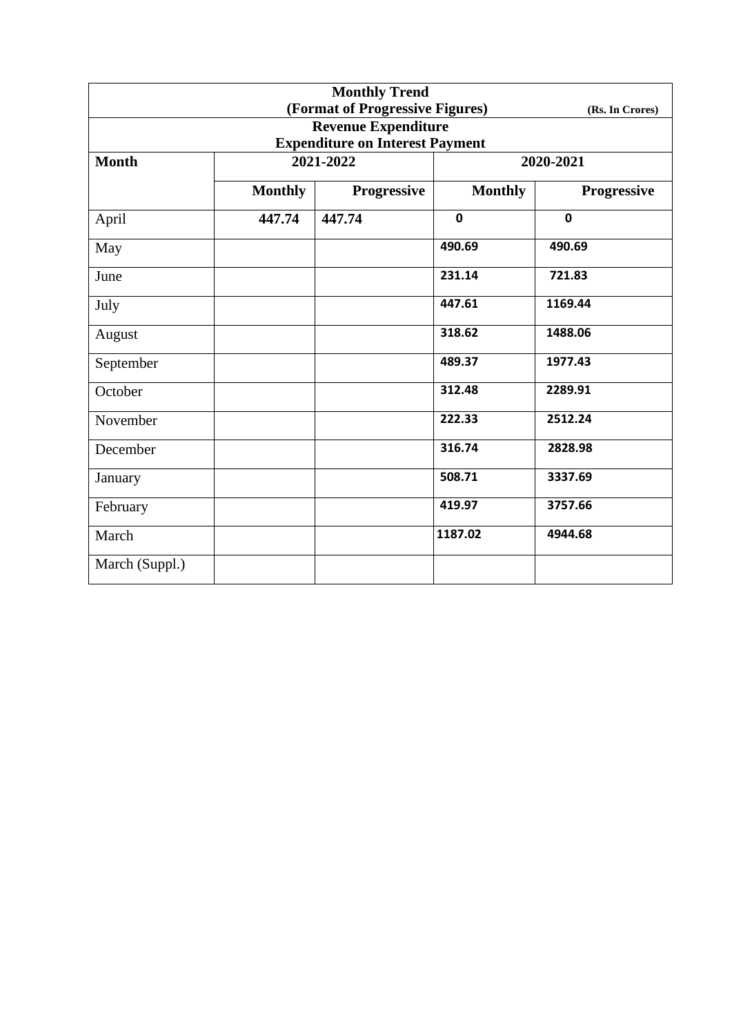| <b>Monthly Trend</b> |                |                                        |                |                 |
|----------------------|----------------|----------------------------------------|----------------|-----------------|
|                      |                | (Format of Progressive Figures)        |                | (Rs. In Crores) |
|                      |                | <b>Revenue Expenditure</b>             |                |                 |
|                      |                | <b>Expenditure on Interest Payment</b> |                |                 |
| <b>Month</b>         | 2021-2022      |                                        | 2020-2021      |                 |
|                      | <b>Monthly</b> | <b>Progressive</b>                     | <b>Monthly</b> | Progressive     |
| April                | 447.74         | 447.74                                 | $\mathbf 0$    | $\mathbf 0$     |
| May                  |                |                                        | 490.69         | 490.69          |
| June                 |                |                                        | 231.14         | 721.83          |
| July                 |                |                                        | 447.61         | 1169.44         |
| August               |                |                                        | 318.62         | 1488.06         |
| September            |                |                                        | 489.37         | 1977.43         |
| October              |                |                                        | 312.48         | 2289.91         |
| November             |                |                                        | 222.33         | 2512.24         |
| December             |                |                                        | 316.74         | 2828.98         |
| January              |                |                                        | 508.71         | 3337.69         |
| February             |                |                                        | 419.97         | 3757.66         |
| March                |                |                                        | 1187.02        | 4944.68         |
| March (Suppl.)       |                |                                        |                |                 |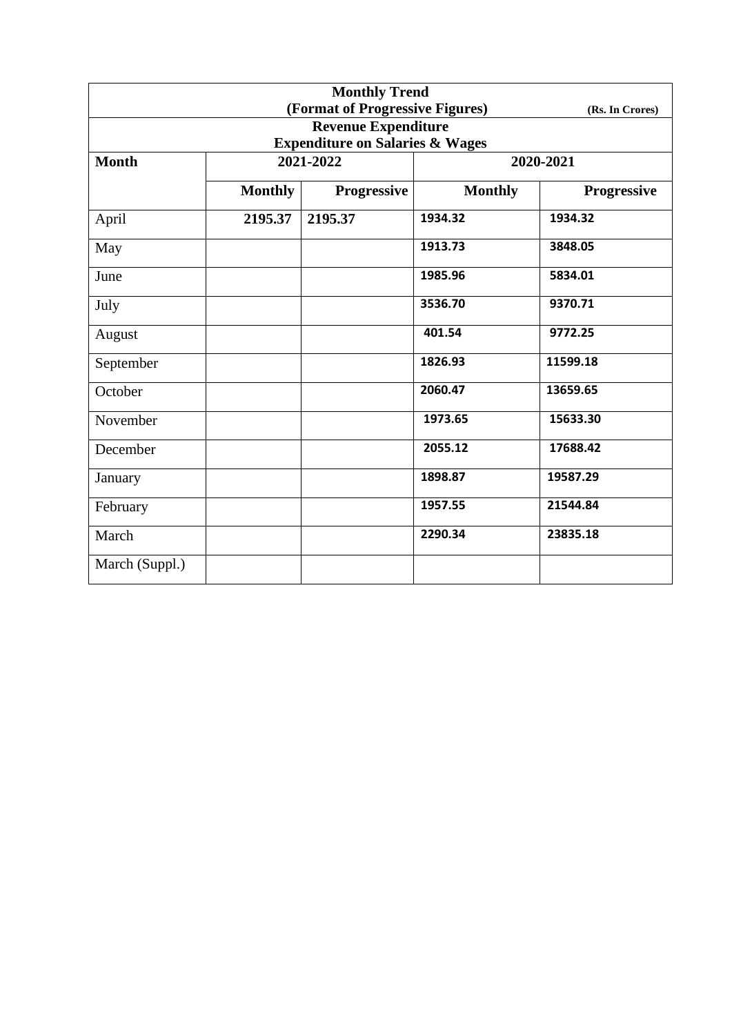| <b>Monthly Trend</b> |                |                                            |                |                 |
|----------------------|----------------|--------------------------------------------|----------------|-----------------|
|                      |                | (Format of Progressive Figures)            |                | (Rs. In Crores) |
|                      |                | <b>Revenue Expenditure</b>                 |                |                 |
|                      |                | <b>Expenditure on Salaries &amp; Wages</b> |                |                 |
| <b>Month</b>         |                | 2021-2022                                  |                | 2020-2021       |
|                      | <b>Monthly</b> | Progressive                                | <b>Monthly</b> | Progressive     |
| April                | 2195.37        | 2195.37                                    | 1934.32        | 1934.32         |
| May                  |                |                                            | 1913.73        | 3848.05         |
| June                 |                |                                            | 1985.96        | 5834.01         |
| July                 |                |                                            | 3536.70        | 9370.71         |
| August               |                |                                            | 401.54         | 9772.25         |
| September            |                |                                            | 1826.93        | 11599.18        |
| October              |                |                                            | 2060.47        | 13659.65        |
| November             |                |                                            | 1973.65        | 15633.30        |
| December             |                |                                            | 2055.12        | 17688.42        |
| January              |                |                                            | 1898.87        | 19587.29        |
| February             |                |                                            | 1957.55        | 21544.84        |
| March                |                |                                            | 2290.34        | 23835.18        |
| March (Suppl.)       |                |                                            |                |                 |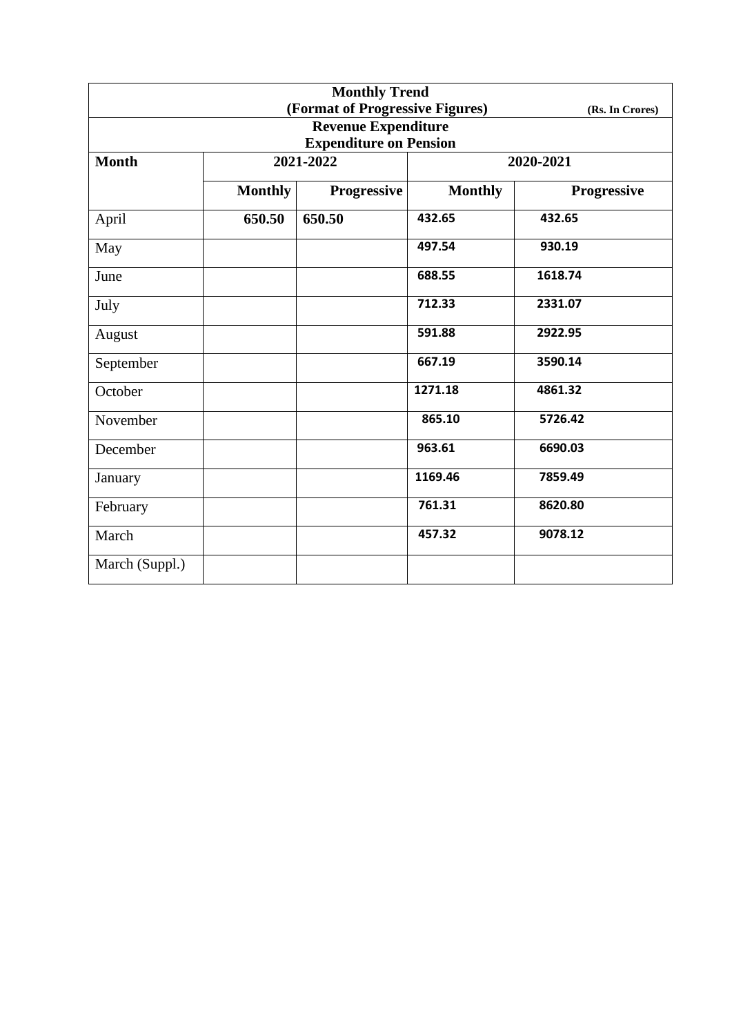| <b>Monthly Trend</b> |                |                                 |                |                 |
|----------------------|----------------|---------------------------------|----------------|-----------------|
|                      |                | (Format of Progressive Figures) |                | (Rs. In Crores) |
|                      |                | <b>Revenue Expenditure</b>      |                |                 |
|                      |                | <b>Expenditure on Pension</b>   |                |                 |
| <b>Month</b>         |                | 2021-2022                       |                | 2020-2021       |
|                      | <b>Monthly</b> | <b>Progressive</b>              | <b>Monthly</b> | Progressive     |
| April                | 650.50         | 650.50                          | 432.65         | 432.65          |
| May                  |                |                                 | 497.54         | 930.19          |
| June                 |                |                                 | 688.55         | 1618.74         |
| July                 |                |                                 | 712.33         | 2331.07         |
| August               |                |                                 | 591.88         | 2922.95         |
| September            |                |                                 | 667.19         | 3590.14         |
| October              |                |                                 | 1271.18        | 4861.32         |
| November             |                |                                 | 865.10         | 5726.42         |
| December             |                |                                 | 963.61         | 6690.03         |
| January              |                |                                 | 1169.46        | 7859.49         |
| February             |                |                                 | 761.31         | 8620.80         |
| March                |                |                                 | 457.32         | 9078.12         |
| March (Suppl.)       |                |                                 |                |                 |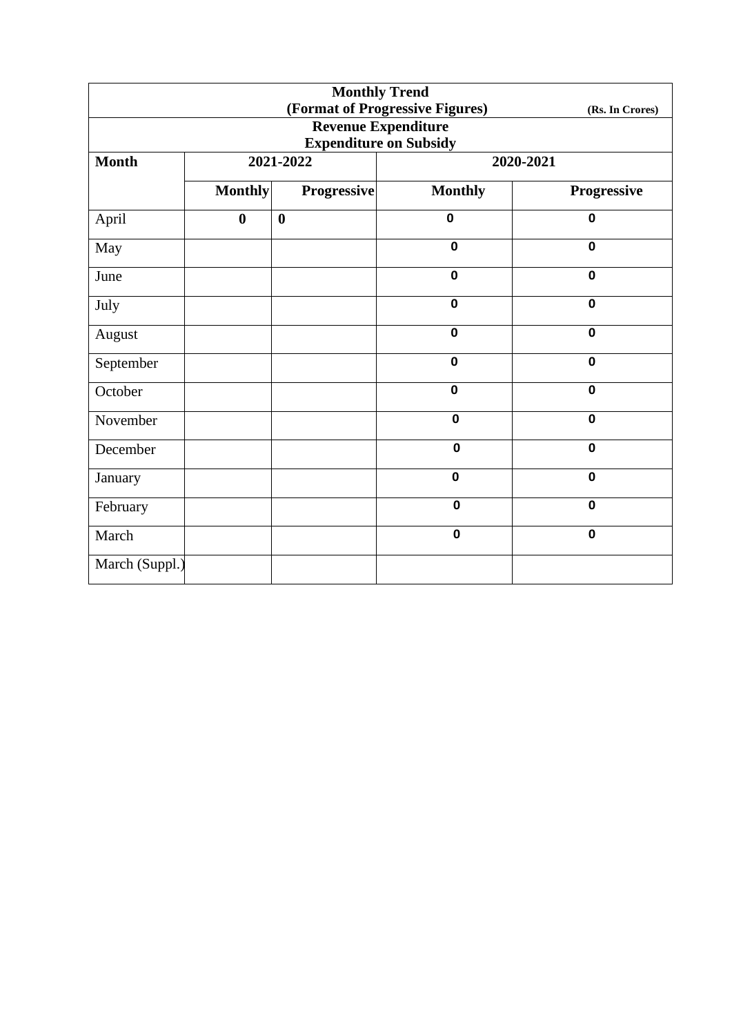| <b>Monthly Trend</b> |                  |                    |                                 |                 |  |
|----------------------|------------------|--------------------|---------------------------------|-----------------|--|
|                      |                  |                    | (Format of Progressive Figures) | (Rs. In Crores) |  |
|                      |                  |                    | <b>Revenue Expenditure</b>      |                 |  |
|                      |                  |                    | <b>Expenditure on Subsidy</b>   |                 |  |
| <b>Month</b>         |                  | 2021-2022          | 2020-2021                       |                 |  |
|                      | <b>Monthly</b>   | <b>Progressive</b> | <b>Monthly</b>                  | Progressive     |  |
| April                | $\boldsymbol{0}$ | $\bf{0}$           | $\mathbf 0$                     | $\mathbf 0$     |  |
| May                  |                  |                    | $\mathbf 0$                     | $\mathbf 0$     |  |
| June                 |                  |                    | $\mathbf 0$                     | $\mathbf 0$     |  |
| July                 |                  |                    | $\mathbf 0$                     | $\mathbf 0$     |  |
| August               |                  |                    | $\mathbf 0$                     | $\mathbf 0$     |  |
| September            |                  |                    | $\mathbf 0$                     | $\mathbf 0$     |  |
| October              |                  |                    | $\mathbf 0$                     | $\mathbf 0$     |  |
| November             |                  |                    | $\mathbf 0$                     | $\mathbf 0$     |  |
| December             |                  |                    | $\mathbf 0$                     | $\mathbf 0$     |  |
| January              |                  |                    | $\mathbf 0$                     | $\mathbf 0$     |  |
| February             |                  |                    | $\mathbf 0$                     | $\mathbf 0$     |  |
| March                |                  |                    | $\mathbf 0$                     | $\mathbf 0$     |  |
| March (Suppl.)       |                  |                    |                                 |                 |  |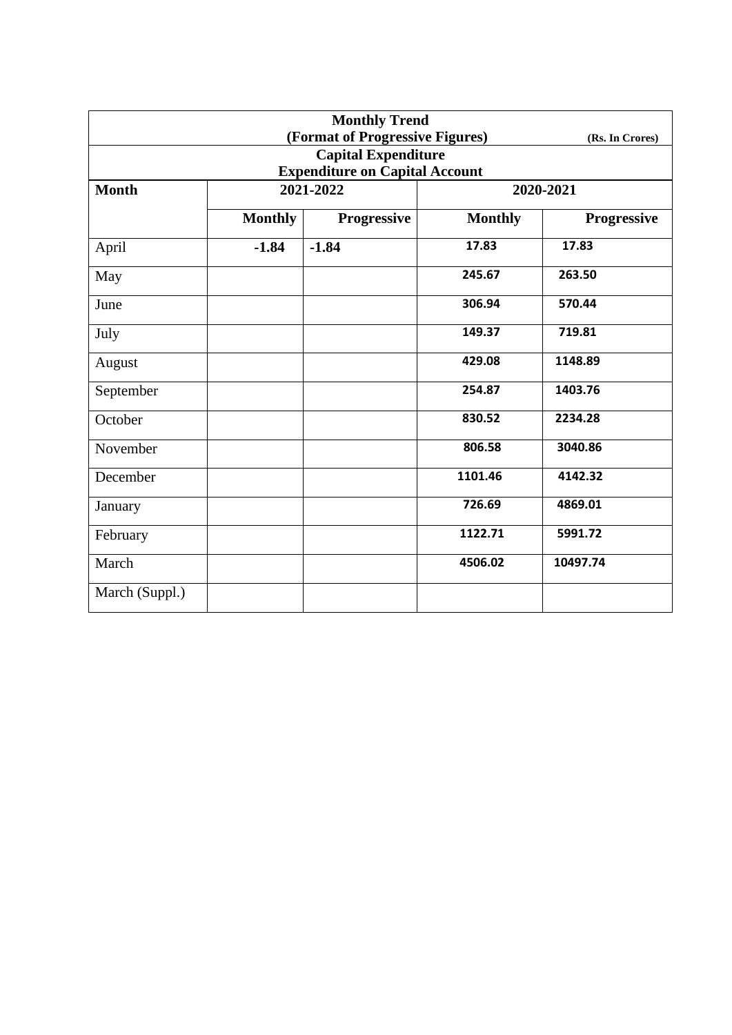| <b>Monthly Trend</b>                  |                |                    |                |                 |  |
|---------------------------------------|----------------|--------------------|----------------|-----------------|--|
| (Format of Progressive Figures)       |                |                    |                | (Rs. In Crores) |  |
| <b>Capital Expenditure</b>            |                |                    |                |                 |  |
| <b>Expenditure on Capital Account</b> |                |                    |                |                 |  |
| <b>Month</b>                          | 2021-2022      |                    | 2020-2021      |                 |  |
|                                       | <b>Monthly</b> | <b>Progressive</b> | <b>Monthly</b> | Progressive     |  |
| April                                 | $-1.84$        | $-1.84$            | 17.83          | 17.83           |  |
| May                                   |                |                    | 245.67         | 263.50          |  |
| June                                  |                |                    | 306.94         | 570.44          |  |
| July                                  |                |                    | 149.37         | 719.81          |  |
| August                                |                |                    | 429.08         | 1148.89         |  |
| September                             |                |                    | 254.87         | 1403.76         |  |
| October                               |                |                    | 830.52         | 2234.28         |  |
| November                              |                |                    | 806.58         | 3040.86         |  |
| December                              |                |                    | 1101.46        | 4142.32         |  |
| January                               |                |                    | 726.69         | 4869.01         |  |
| February                              |                |                    | 1122.71        | 5991.72         |  |
| March                                 |                |                    | 4506.02        | 10497.74        |  |
| March (Suppl.)                        |                |                    |                |                 |  |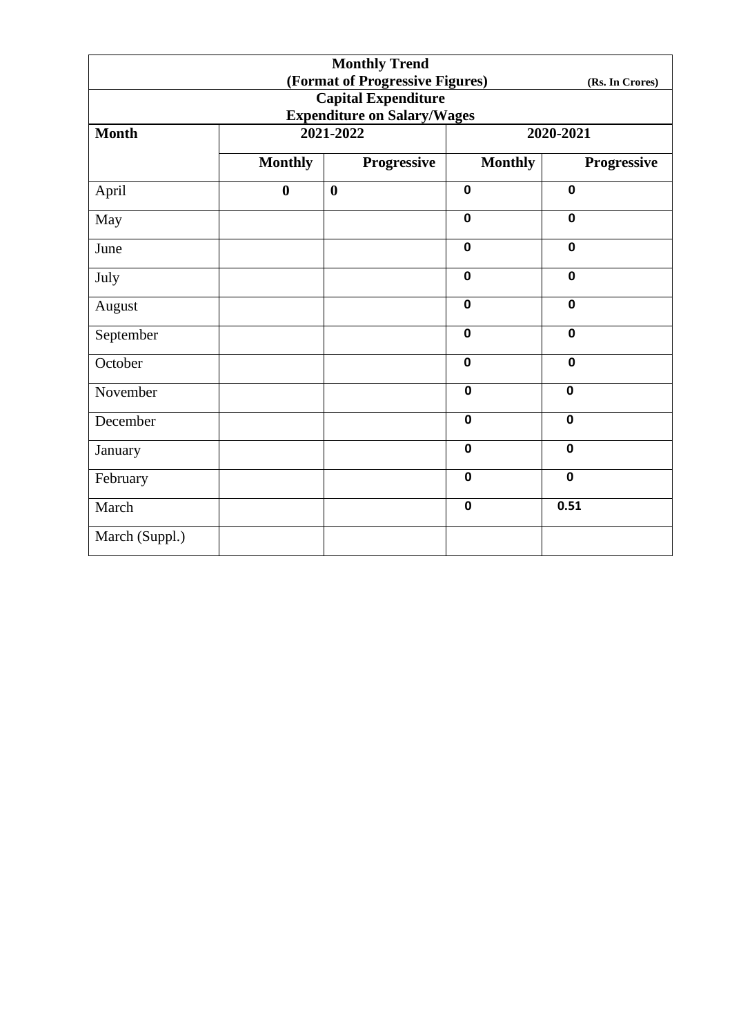|                                                    |                  | <b>Monthly Trend</b> |                |             |  |  |
|----------------------------------------------------|------------------|----------------------|----------------|-------------|--|--|
| (Format of Progressive Figures)<br>(Rs. In Crores) |                  |                      |                |             |  |  |
| <b>Capital Expenditure</b>                         |                  |                      |                |             |  |  |
| <b>Expenditure on Salary/Wages</b>                 |                  |                      |                |             |  |  |
| <b>Month</b>                                       |                  | 2021-2022            | 2020-2021      |             |  |  |
|                                                    | <b>Monthly</b>   | Progressive          | <b>Monthly</b> | Progressive |  |  |
| April                                              | $\boldsymbol{0}$ | $\boldsymbol{0}$     | $\mathbf 0$    | $\mathbf 0$ |  |  |
| May                                                |                  |                      | $\mathbf 0$    | $\mathbf 0$ |  |  |
| June                                               |                  |                      | $\mathbf 0$    | $\mathbf 0$ |  |  |
| July                                               |                  |                      | $\mathbf 0$    | $\mathbf 0$ |  |  |
| August                                             |                  |                      | $\mathbf 0$    | $\mathbf 0$ |  |  |
| September                                          |                  |                      | $\mathbf 0$    | $\mathbf 0$ |  |  |
| October                                            |                  |                      | $\mathbf 0$    | $\mathbf 0$ |  |  |
| November                                           |                  |                      | $\mathbf 0$    | $\mathbf 0$ |  |  |
| December                                           |                  |                      | $\mathbf 0$    | $\mathbf 0$ |  |  |
| January                                            |                  |                      | $\mathbf 0$    | $\mathbf 0$ |  |  |
| February                                           |                  |                      | $\mathbf 0$    | $\mathbf 0$ |  |  |
| March                                              |                  |                      | $\mathbf 0$    | 0.51        |  |  |
| March (Suppl.)                                     |                  |                      |                |             |  |  |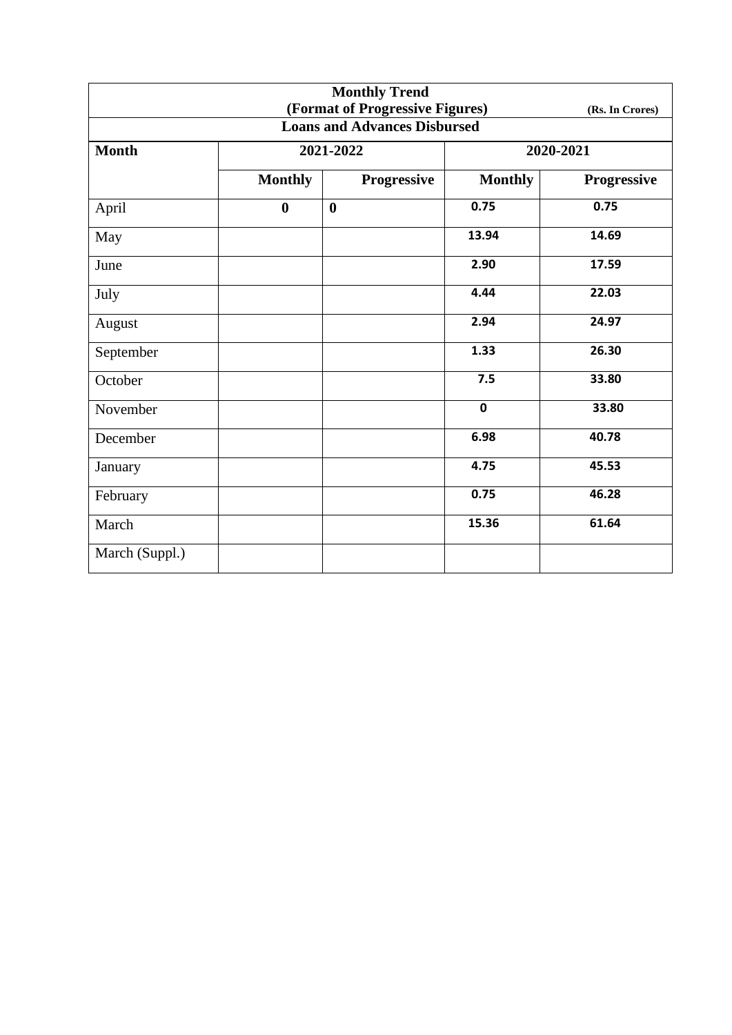| <b>Monthly Trend</b><br>(Format of Progressive Figures)<br>(Rs. In Crores) |                  |                  |                |             |  |  |
|----------------------------------------------------------------------------|------------------|------------------|----------------|-------------|--|--|
| <b>Loans and Advances Disbursed</b>                                        |                  |                  |                |             |  |  |
| <b>Month</b>                                                               |                  | 2021-2022        | 2020-2021      |             |  |  |
|                                                                            | <b>Monthly</b>   | Progressive      | <b>Monthly</b> | Progressive |  |  |
| April                                                                      | $\boldsymbol{0}$ | $\boldsymbol{0}$ | 0.75           | 0.75        |  |  |
| May                                                                        |                  |                  | 13.94          | 14.69       |  |  |
| June                                                                       |                  |                  | 2.90           | 17.59       |  |  |
| July                                                                       |                  |                  | 4.44           | 22.03       |  |  |
| August                                                                     |                  |                  | 2.94           | 24.97       |  |  |
| September                                                                  |                  |                  | 1.33           | 26.30       |  |  |
| October                                                                    |                  |                  | 7.5            | 33.80       |  |  |
| November                                                                   |                  |                  | $\mathbf 0$    | 33.80       |  |  |
| December                                                                   |                  |                  | 6.98           | 40.78       |  |  |
| January                                                                    |                  |                  | 4.75           | 45.53       |  |  |
| February                                                                   |                  |                  | 0.75           | 46.28       |  |  |
| March                                                                      |                  |                  | 15.36          | 61.64       |  |  |
| March (Suppl.)                                                             |                  |                  |                |             |  |  |